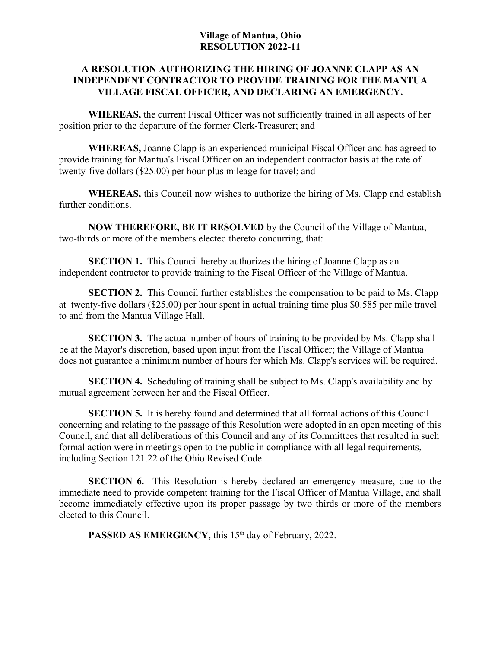## **Village of Mantua, Ohio RESOLUTION 2022-11**

## **A RESOLUTION AUTHORIZING THE HIRING OF JOANNE CLAPP AS AN INDEPENDENT CONTRACTOR TO PROVIDE TRAINING FOR THE MANTUA VILLAGE FISCAL OFFICER, AND DECLARING AN EMERGENCY.**

**WHEREAS,** the current Fiscal Officer was not sufficiently trained in all aspects of her position prior to the departure of the former Clerk-Treasurer; and

**WHEREAS,** Joanne Clapp is an experienced municipal Fiscal Officer and has agreed to provide training for Mantua's Fiscal Officer on an independent contractor basis at the rate of twenty-five dollars (\$25.00) per hour plus mileage for travel; and

**WHEREAS,** this Council now wishes to authorize the hiring of Ms. Clapp and establish further conditions.

**NOW THEREFORE, BE IT RESOLVED** by the Council of the Village of Mantua, two-thirds or more of the members elected thereto concurring, that:

**SECTION 1.** This Council hereby authorizes the hiring of Joanne Clapp as an independent contractor to provide training to the Fiscal Officer of the Village of Mantua.

**SECTION 2.** This Council further establishes the compensation to be paid to Ms. Clapp at twenty-five dollars (\$25.00) per hour spent in actual training time plus \$0.585 per mile travel to and from the Mantua Village Hall.

**SECTION 3.** The actual number of hours of training to be provided by Ms. Clapp shall be at the Mayor's discretion, based upon input from the Fiscal Officer; the Village of Mantua does not guarantee a minimum number of hours for which Ms. Clapp's services will be required.

**SECTION 4.** Scheduling of training shall be subject to Ms. Clapp's availability and by mutual agreement between her and the Fiscal Officer.

**SECTION 5.** It is hereby found and determined that all formal actions of this Council concerning and relating to the passage of this Resolution were adopted in an open meeting of this Council, and that all deliberations of this Council and any of its Committees that resulted in such formal action were in meetings open to the public in compliance with all legal requirements, including Section 121.22 of the Ohio Revised Code.

**SECTION 6.** This Resolution is hereby declared an emergency measure, due to the immediate need to provide competent training for the Fiscal Officer of Mantua Village, and shall become immediately effective upon its proper passage by two thirds or more of the members elected to this Council.

PASSED AS EMERGENCY, this 15<sup>th</sup> day of February, 2022.